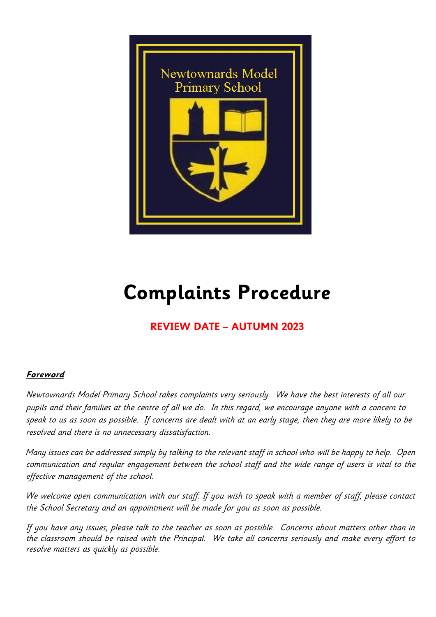

# **Complaints Procedure**

# **REVIEW DATE – AUTUMN 2023**

# **Foreword**

Newtownards Model Primary School takes complaints very seriously. We have the best interests of all our pupils and their families at the centre of all we do. In this regard, we encourage anyone with a concern to speak to us as soon as possible. If concerns are dealt with at an early stage, then they are more likely to be resolved and there is no unnecessary dissatisfaction.

Many issues can be addressed simply by talking to the relevant staff in school who will be happy to help. Open communication and regular engagement between the school staff and the wide range of users is vital to the effective management of the school.

We welcome open communication with our staff. If you wish to speak with a member of staff, please contact the School Secretary and an appointment will be made for you as soon as possible.

If you have any issues, please talk to the teacher as soon as possible. Concerns about matters other than in the classroom should be raised with the Principal. We take all concerns seriously and make every effort to resolve matters as quickly as possible.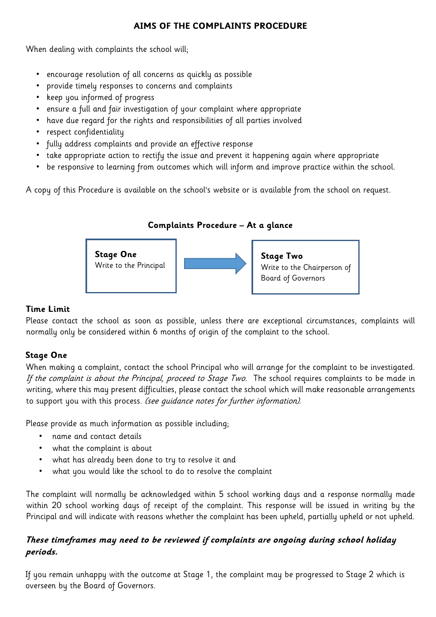#### **AIMS OF THE COMPLAINTS PROCEDURE**

When dealing with complaints the school will;

- encourage resolution of all concerns as quickly as possible
- provide timely responses to concerns and complaints
- keep you informed of progress
- ensure a full and fair investigation of your complaint where appropriate
- have due regard for the rights and responsibilities of all parties involved
- respect confidentiality
- fully address complaints and provide an effective response
- take appropriate action to rectify the issue and prevent it happening again where appropriate
- be responsive to learning from outcomes which will inform and improve practice within the school.

A copy of this Procedure is available on the school's website or is available from the school on request.

# **Complaints Procedure – At a glance**



#### **Time Limit**

Please contact the school as soon as possible, unless there are exceptional circumstances, complaints will normally only be considered within 6 months of origin of the complaint to the school.

# **Stage One**

When making a complaint, contact the school Principal who will arrange for the complaint to be investigated. If the complaint is about the Principal, proceed to Stage Two. The school requires complaints to be made in writing, where this may present difficulties, please contact the school which will make reasonable arrangements to support you with this process. (see guidance notes for further information).

Please provide as much information as possible including;

- name and contact details
- what the complaint is about
- what has already been done to try to resolve it and
- what you would like the school to do to resolve the complaint

The complaint will normally be acknowledged within 5 school working days and a response normally made within 20 school working days of receipt of the complaint. This response will be issued in writing by the Principal and will indicate with reasons whether the complaint has been upheld, partially upheld or not upheld.

# **These timeframes may need to be reviewed if complaints are ongoing during school holiday periods.**

If you remain unhappy with the outcome at Stage 1, the complaint may be progressed to Stage 2 which is overseen by the Board of Governors.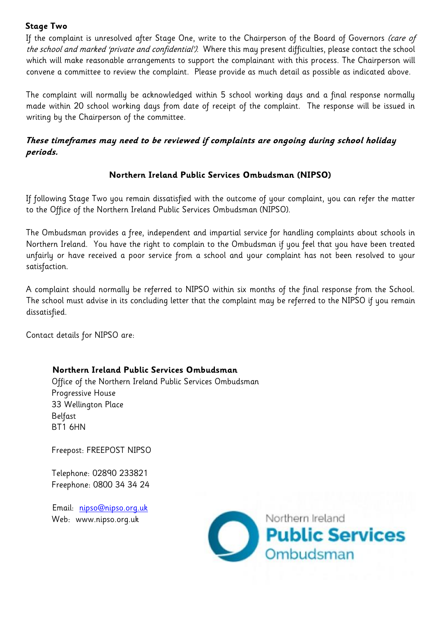#### **Stage Two**

If the complaint is unresolved after Stage One, write to the Chairperson of the Board of Governors (care of the school and marked 'private and confidential'). Where this may present difficulties, please contact the school which will make reasonable arrangements to support the complainant with this process. The Chairperson will convene a committee to review the complaint. Please provide as much detail as possible as indicated above.

The complaint will normally be acknowledged within 5 school working days and a final response normally made within 20 school working days from date of receipt of the complaint. The response will be issued in writing by the Chairperson of the committee.

# **These timeframes may need to be reviewed if complaints are ongoing during school holiday periods.**

# **Northern Ireland Public Services Ombudsman (NIPSO)**

If following Stage Two you remain dissatisfied with the outcome of your complaint, you can refer the matter to the Office of the Northern Ireland Public Services Ombudsman (NIPSO).

The Ombudsman provides a free, independent and impartial service for handling complaints about schools in Northern Ireland. You have the right to complain to the Ombudsman if you feel that you have been treated unfairly or have received a poor service from a school and your complaint has not been resolved to your satisfaction.

A complaint should normally be referred to NIPSO within six months of the final response from the School. The school must advise in its concluding letter that the complaint may be referred to the NIPSO if you remain dissatisfied.

Contact details for NIPSO are:

#### **Northern Ireland Public Services Ombudsman**

Office of the Northern Ireland Public Services Ombudsman Progressive House 33 Wellington Place Belfast BT1 6HN

Freepost: FREEPOST NIPSO

Telephone: 02890 233821 Freephone: 0800 34 34 24

Email: nipso@nipso.org.uk Web: www.nipso.org.uk

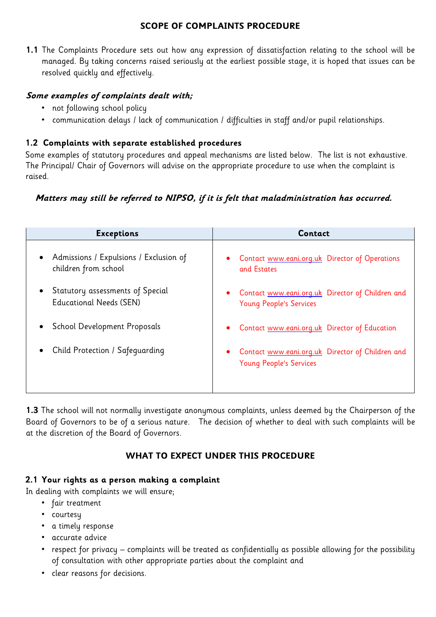#### **SCOPE OF COMPLAINTS PROCEDURE**

**1.1** The Complaints Procedure sets out how any expression of dissatisfaction relating to the school will be managed. By taking concerns raised seriously at the earliest possible stage, it is hoped that issues can be resolved quickly and effectively.

#### **Some examples of complaints dealt with;**

- not following school policy
- communication delays / lack of communication / difficulties in staff and/or pupil relationships.

#### **1.2 Complaints with separate established procedures**

Some examples of statutory procedures and appeal mechanisms are listed below. The list is not exhaustive. The Principal/ Chair of Governors will advise on the appropriate procedure to use when the complaint is raised.

#### **Matters may still be referred to NIPSO, if it is felt that maladministration has occurred.**

| <b>Exceptions</b>                                                  | Contact                                                                            |
|--------------------------------------------------------------------|------------------------------------------------------------------------------------|
| • Admissions / Expulsions / Exclusion of<br>children from school   | Contact www.eani.org.uk Director of Operations<br>$\bullet$<br>and Estates         |
| Statutory assessments of Special<br><b>Educational Needs (SEN)</b> | • Contact www.eani.org.uk Director of Children and<br>Young People's Services      |
| <b>School Development Proposals</b>                                | Contact www.eani.org.uk Director of Education<br>$\bullet$                         |
| Child Protection / Safeguarding                                    | Contact www.eani.org.uk Director of Children and<br><b>Young People's Services</b> |

**1.3** The school will not normally investigate anonymous complaints, unless deemed by the Chairperson of the Board of Governors to be of a serious nature. The decision of whether to deal with such complaints will be at the discretion of the Board of Governors.

#### **WHAT TO EXPECT UNDER THIS PROCEDURE**

#### **2.1 Your rights as a person making a complaint**

In dealing with complaints we will ensure;

- fair treatment
- courtesy
- a timely response
- accurate advice
- respect for privacy complaints will be treated as confidentially as possible allowing for the possibility of consultation with other appropriate parties about the complaint and
- clear reasons for decisions.